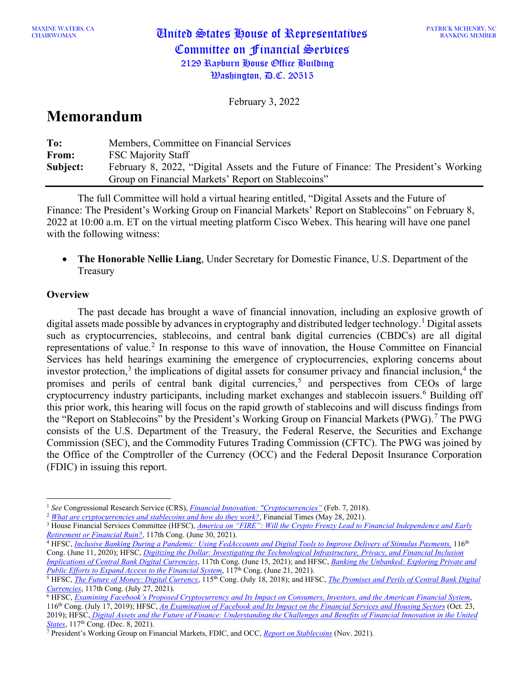February 3, 2022

# **Memorandum**

| To:      | Members, Committee on Financial Services                                             |  |  |
|----------|--------------------------------------------------------------------------------------|--|--|
| From:    | <b>FSC Majority Staff</b>                                                            |  |  |
| Subject: | February 8, 2022, "Digital Assets and the Future of Finance: The President's Working |  |  |
|          | Group on Financial Markets' Report on Stablecoins"                                   |  |  |

The full Committee will hold a virtual hearing entitled, "Digital Assets and the Future of Finance: The President's Working Group on Financial Markets' Report on Stablecoins" on February 8, 2022 at 10:00 a.m. ET on the virtual meeting platform Cisco Webex. This hearing will have one panel with the following witness:

• **The Honorable Nellie Liang**, Under Secretary for Domestic Finance, U.S. Department of the Treasury

## **Overview**

The past decade has brought a wave of financial innovation, including an explosive growth of digital assets made possible by advances in cryptography and distributed ledger technology.<sup>[1](#page-0-0)</sup> Digital assets such as cryptocurrencies, stablecoins, and central bank digital currencies (CBDCs) are all digital representations of value.<sup>[2](#page-0-1)</sup> In response to this wave of innovation, the House Committee on Financial Services has held hearings examining the emergence of cryptocurrencies, exploring concerns about investor protection, [3](#page-0-2) the implications of digital assets for consumer privacy and financial inclusion, [4](#page-0-3) the promises and perils of central bank digital currencies,<sup>[5](#page-0-4)</sup> and perspectives from CEOs of large cryptocurrency industry participants, including market exchanges and stablecoin issuers. [6](#page-0-5) Building off this prior work, this hearing will focus on the rapid growth of stablecoins and will discuss findings from the "Report on Stablecoins" by the President's Working Group on Financial Markets (PWG).<sup>[7](#page-0-6)</sup> The PWG consists of the U.S. Department of the Treasury, the Federal Reserve, the Securities and Exchange Commission (SEC), and the Commodity Futures Trading Commission (CFTC). The PWG was joined by the Office of the Comptroller of the Currency (OCC) and the Federal Deposit Insurance Corporation (FDIC) in issuing this report.

<span id="page-0-0"></span><sup>&</sup>lt;sup>1</sup> See Congressional Research Service (CRS), *[Financial Innovation: "Cryptocurrencies"](https://www.crs.gov/Reports/IF10824)* (Feb. 7, 2018).

<span id="page-0-1"></span><sup>2</sup> *[What are cryptocurrencies and stablecoins and how do they work?](https://www.ft.com/content/424b29c4-07bf-4612-b7d6-76aecf8e1528)*, Financial Times (May 28, 2021).

<span id="page-0-2"></span><sup>&</sup>lt;sup>3</sup> House Financial Services Committee (HFSC), *America on "FIRE": Will the Crypto Frenzy Lead to Financial Independence and Early [Retirement or Financial Ruin?](https://financialservices.house.gov/events/eventsingle.aspx?EventID=407958)*, 117th Cong. (June 30, 2021).

<span id="page-0-3"></span><sup>&</sup>lt;sup>4</sup> HFSC, *Inclusive Banking During a Pandemic: Using FedAccounts and Digital Tools to Improve Delivery of Stimulus Payments*, 116<sup>th</sup> Cong. (June 11, 2020); HFSC, *[Digitizing the Dollar: Investigating the Technological Infrastructure, Privacy, and Financial Inclusion](https://financialservices.house.gov/events/eventsingle.aspx?EventID=407953)  [Implications of Central Bank Digital Currencies](https://financialservices.house.gov/events/eventsingle.aspx?EventID=407953)*, 117th Cong. (June 15, 2021); and HFSC, *[Banking the Unbanked: Exploring Private and](https://financialservices.house.gov/events/eventsingle.aspx?EventID=408109)  [Public Efforts to Expand Access to the Financial System](https://financialservices.house.gov/events/eventsingle.aspx?EventID=408109)*, 117<sup>th</sup> Cong. (June 21, 2021).

<span id="page-0-4"></span><sup>5</sup> HFSC, *[The Future of Money: Digital Currency](https://financialservices.house.gov/events/eventsingle.aspx?EventID=401540)*, 115th Cong. (July 18, 2018); and HFSC, *[The Promises and Perils of Central Bank Digital](https://financialservices.house.gov/events/eventsingle.aspx?EventID=408111)  [Currencies](https://financialservices.house.gov/events/eventsingle.aspx?EventID=408111)*, 117th Cong. (July 27, 2021).

<span id="page-0-5"></span><sup>6</sup> HFSC, *[Examining Facebook's Proposed Cryptocurrency and Its Impact on Consumers, Investors, and the American Financial System](https://financialservices.house.gov/events/eventsingle.aspx?EventID=404001)*, 116th Cong. (July 17, 2019); HFSC, *[An Examination of Facebook and Its Impact on the Financial Services and Housing Sectors](https://financialservices.house.gov/events/eventsingle.aspx?EventID=404487)* (Oct. 23, 2019); HFSC, *[Digital Assets and the Future of Finance: Understanding the Challenges and Benefits of Financial Innovation in the United](https://financialservices.house.gov/events/eventsingle.aspx?EventID=408705)  [States](https://financialservices.house.gov/events/eventsingle.aspx?EventID=408705)*, 117<sup>th</sup> Cong. (Dec. 8, 2021).

<span id="page-0-6"></span><sup>7</sup> President's Working Group on Financial Markets, FDIC, and OCC, *[Report on Stablecoins](https://home.treasury.gov/system/files/136/StableCoinReport_Nov1_508.pdf)* (Nov. 2021).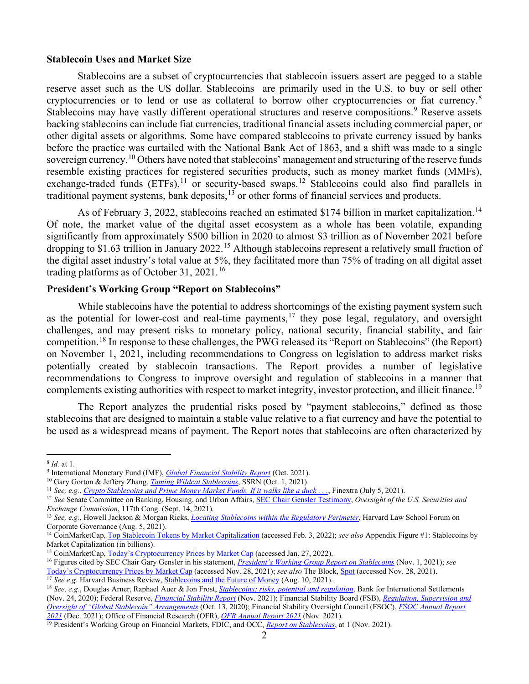#### **Stablecoin Uses and Market Size**

Stablecoins are a subset of cryptocurrencies that stablecoin issuers assert are pegged to a stable reserve asset such as the US dollar. Stablecoins are primarily used in the U.S. to buy or sell other cryptocurrencies or to lend or use as collateral to borrow other cryptocurrencies or fiat currency.[8](#page-1-0) Stablecoins may have vastly different operational structures and reserve compositions.<sup>[9](#page-1-1)</sup> Reserve assets backing stablecoins can include fiat currencies, traditional financial assets including commercial paper, or other digital assets or algorithms. Some have compared stablecoins to private currency issued by banks before the practice was curtailed with the National Bank Act of 1863, and a shift was made to a single sovereign currency.<sup>[10](#page-1-2)</sup> Others have noted that stablecoins' management and structuring of the reserve funds resemble existing practices for registered securities products, such as money market funds (MMFs), exchange-traded funds (ETFs),<sup>[11](#page-1-3)</sup> or security-based swaps.<sup>[12](#page-1-4)</sup> Stablecoins could also find parallels in traditional payment systems, bank deposits,<sup>[13](#page-1-5)</sup> or other forms of financial services and products.

As of February 3, 2022, stablecoins reached an estimated \$174 billion in market capitalization.<sup>[14](#page-1-6)</sup> Of note, the market value of the digital asset ecosystem as a whole has been volatile, expanding significantly from approximately \$500 billion in 2020 to almost \$3 trillion as of November 2021 before dropping to \$1.63 trillion in January 2022.<sup>[15](#page-1-7)</sup> Although stablecoins represent a relatively small fraction of the digital asset industry's total value at 5%, they facilitated more than 75% of trading on all digital asset trading platforms as of October 31, 2021.<sup>[16](#page-1-8)</sup>

#### **President's Working Group "Report on Stablecoins"**

While stablecoins have the potential to address shortcomings of the existing payment system such as the potential for lower-cost and real-time payments,<sup>[17](#page-1-9)</sup> they pose legal, regulatory, and oversight challenges, and may present risks to monetary policy, national security, financial stability, and fair competition.[18](#page-1-10) In response to these challenges, the PWG released its "Report on Stablecoins" (the Report) on November 1, 2021, including recommendations to Congress on legislation to address market risks potentially created by stablecoin transactions. The Report provides a number of legislative recommendations to Congress to improve oversight and regulation of stablecoins in a manner that complements existing authorities with respect to market integrity, investor protection, and illicit finance.<sup>[19](#page-1-11)</sup>

The Report analyzes the prudential risks posed by "payment stablecoins," defined as those stablecoins that are designed to maintain a stable value relative to a fiat currency and have the potential to be used as a widespread means of payment. The Report notes that stablecoins are often characterized by

<span id="page-1-0"></span><sup>8</sup> *Id.* at 1.

<span id="page-1-1"></span><sup>9</sup> International Monetary Fund (IMF), *[Global Financial Stability Report](https://www.imf.org/-/media/Files/Publications/GFSR/2021/October/English/ch2.ashx)* (Oct. 2021).

<span id="page-1-2"></span><sup>10</sup> Gary Gorton & Jeffery Zhang, *Taming [Wildcat Stablecoins](https://papers.ssrn.com/sol3/papers.cfm?abstract_id=3888752)*, SSRN (Oct. 1, 2021).

<span id="page-1-3"></span><sup>11</sup> *See, e.g.*, *[Crypto Stablecoins and Prime Money Market Funds. If it walks like a duck . . .](https://www.finextra.com/blogposting/20557/crypto-stablecoins-and-prime-money-market-funds-if-it-walks-like-a-duck---)*, Finextra (July 5, 2021).

<span id="page-1-4"></span><sup>12</sup> *See* Senate Committee on Banking, Housing, and Urban Affairs[, SEC Chair Gensler Testimony,](https://www.sec.gov/news/testimony/gensler-2021-09-14) *Oversight of the U.S. Securities and Exchange Commission*, 117th Cong. (Sept. 14, 2021).

<span id="page-1-5"></span><sup>13</sup> *See, e.g.*, Howell Jackson & Morgan Ricks, *[Locating Stablecoins within the Regulatory Perimeter](https://corpgov.law.harvard.edu/2021/08/05/locating-stablecoins-within-the-regulatory-perimeter/)*, Harvard Law School Forum on Corporate Governance (Aug. 5, 2021).

<span id="page-1-6"></span><sup>14</sup> CoinMarketCap[, Top Stablecoin Tokens by Market Capitalization](https://coinmarketcap.com/view/stablecoin/) (accessed Feb. 3, 2022); *see also* Appendix Figure #1: Stablecoins by Market Capitalization (in billions).

<span id="page-1-7"></span><sup>&</sup>lt;sup>15</sup> CoinMarketCap[, Today's Cryptocurrency Prices by Market Cap](https://coinmarketcap.com/) (accessed Jan. 27, 2022).

<span id="page-1-8"></span><sup>16</sup> Figures cited by SEC Chair Gary Gensler in his statement, *[President's Working Group Report on Stablecoins](https://www.sec.gov/news/statement/gensler-statement-presidents-working-group-report-stablecoins-110121)* (Nov. 1, 2021); *see* [Today's Cryptocurrency Prices by Market](https://coinmarketcap.com/) Cap (accessed Nov. 28, 2021); *see also* The Block, [Spot](https://www.theblockcrypto.com/data/crypto-markets/spot) (accessed Nov. 28, 2021).

<span id="page-1-9"></span><sup>&</sup>lt;sup>17</sup> See e.g. Harvard Business Review, **Stablecoins and the Future of Money** (Aug. 10, 2021).

<span id="page-1-10"></span><sup>18</sup> *See, e.g.*, Douglas Arner, Raphael Auer & Jon Frost, *[Stablecoins: risks, potential and regulation](https://www.bis.org/publ/work905.htm)*, Bank for International Settlements (Nov. 24, 2020); Federal Reserve, *[Financial Stability Report](https://www.federalreserve.gov/publications/files/financial-stability-report-20211108.pdf)* (Nov. 2021); Financial Stability Board (FSB), *[Regulation, Supervision and](https://www.fsb.org/2020/10/regulation-supervision-and-oversight-of-global-stablecoin-arrangements/)  [Oversight of "Global Stablecoin" Arrangements](https://www.fsb.org/2020/10/regulation-supervision-and-oversight-of-global-stablecoin-arrangements/)* (Oct. 13, 2020); Financial Stability Oversight Council (FSOC), *[FSOC Annual Report](https://home.treasury.gov/system/files/261/FSOC2021AnnualReport.pdf)  [2021](https://home.treasury.gov/system/files/261/FSOC2021AnnualReport.pdf)* (Dec. 2021); Office of Financial Research (OFR), *[OFR Annual Report 2021](https://www.financialresearch.gov/annual-reports/files/OFR-Annual-Report-2021.pdf)* (Nov. 2021).

<span id="page-1-11"></span><sup>&</sup>lt;sup>19</sup> President's Working Group on Financial Markets, FDIC, and OCC, *[Report on Stablecoins](https://home.treasury.gov/system/files/136/StableCoinReport_Nov1_508.pdf)*, at 1 (Nov. 2021).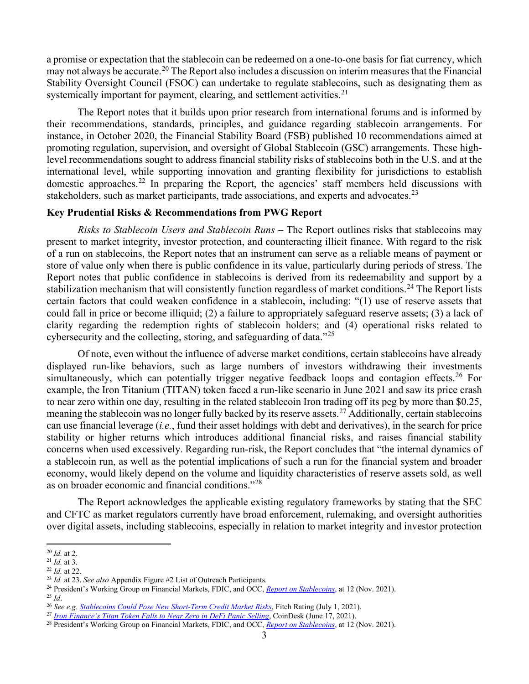a promise or expectation that the stablecoin can be redeemed on a one-to-one basis for fiat currency, which may not always be accurate.<sup>[20](#page-2-0)</sup> The Report also includes a discussion on interim measures that the Financial Stability Oversight Council (FSOC) can undertake to regulate stablecoins, such as designating them as systemically important for payment, clearing, and settlement activities.<sup>[21](#page-2-1)</sup>

The Report notes that it builds upon prior research from international forums and is informed by their recommendations, standards, principles, and guidance regarding stablecoin arrangements. For instance, in October 2020, the Financial Stability Board (FSB) published 10 recommendations aimed at promoting regulation, supervision, and oversight of Global Stablecoin (GSC) arrangements. These highlevel recommendations sought to address financial stability risks of stablecoins both in the U.S. and at the international level, while supporting innovation and granting flexibility for jurisdictions to establish domestic approaches.<sup>[22](#page-2-2)</sup> In preparing the Report, the agencies' staff members held discussions with stakeholders, such as market participants, trade associations, and experts and advocates.<sup>[23](#page-2-3)</sup>

#### **Key Prudential Risks & Recommendations from PWG Report**

*Risks to Stablecoin Users and Stablecoin Runs –* The Report outlines risks that stablecoins may present to market integrity, investor protection, and counteracting illicit finance. With regard to the risk of a run on stablecoins, the Report notes that an instrument can serve as a reliable means of payment or store of value only when there is public confidence in its value, particularly during periods of stress. The Report notes that public confidence in stablecoins is derived from its redeemability and support by a stabilization mechanism that will consistently function regardless of market conditions.<sup>[24](#page-2-4)</sup> The Report lists certain factors that could weaken confidence in a stablecoin, including: "(1) use of reserve assets that could fall in price or become illiquid; (2) a failure to appropriately safeguard reserve assets; (3) a lack of clarity regarding the redemption rights of stablecoin holders; and (4) operational risks related to cybersecurity and the collecting, storing, and safeguarding of data."[25](#page-2-5)

Of note, even without the influence of adverse market conditions, certain stablecoins have already displayed run-like behaviors, such as large numbers of investors withdrawing their investments simultaneously, which can potentially trigger negative feedback loops and contagion effects.<sup>[26](#page-2-6)</sup> For example, the Iron Titanium (TITAN) token faced a run-like scenario in June 2021 and saw its price crash to near zero within one day, resulting in the related stablecoin Iron trading off its peg by more than \$0.25, meaning the stablecoin was no longer fully backed by its reserve assets.<sup>[27](#page-2-7)</sup> Additionally, certain stablecoins can use financial leverage (*i.e.*, fund their asset holdings with debt and derivatives), in the search for price stability or higher returns which introduces additional financial risks, and raises financial stability concerns when used excessively. Regarding run-risk, the Report concludes that "the internal dynamics of a stablecoin run, as well as the potential implications of such a run for the financial system and broader economy, would likely depend on the volume and liquidity characteristics of reserve assets sold, as well as on broader economic and financial conditions."[28](#page-2-8)

The Report acknowledges the applicable existing regulatory frameworks by stating that the SEC and CFTC as market regulators currently have broad enforcement, rulemaking, and oversight authorities over digital assets, including stablecoins, especially in relation to market integrity and investor protection

<span id="page-2-0"></span><sup>20</sup> *Id.* at 2.

<span id="page-2-1"></span><sup>21</sup> *Id.* at 3.

<span id="page-2-2"></span><sup>22</sup> *Id.* at 22.

<span id="page-2-3"></span><sup>23</sup> *Id.* at 23. *See also* Appendix Figure #2 List of Outreach Participants.

<span id="page-2-4"></span><sup>&</sup>lt;sup>24</sup> President's Working Group on Financial Markets, FDIC, and OCC, *[Report on Stablecoins](https://home.treasury.gov/system/files/136/StableCoinReport_Nov1_508.pdf)*, at 12 (Nov. 2021).<br><sup>25</sup> *Id.* 

<span id="page-2-8"></span><span id="page-2-7"></span>

<span id="page-2-6"></span><span id="page-2-5"></span><sup>&</sup>lt;sup>26</sup> See e.g. Stablecoins Could Pose New Short-Term Credit Market Risks, Fitch Rating (July 1, 2021).<br><sup>27</sup> Iron Finance's Titan Token Falls to Near Zero in DeFi Panic Selling, CoinDesk (June 17, 2021).<br><sup>28</sup> President's Wor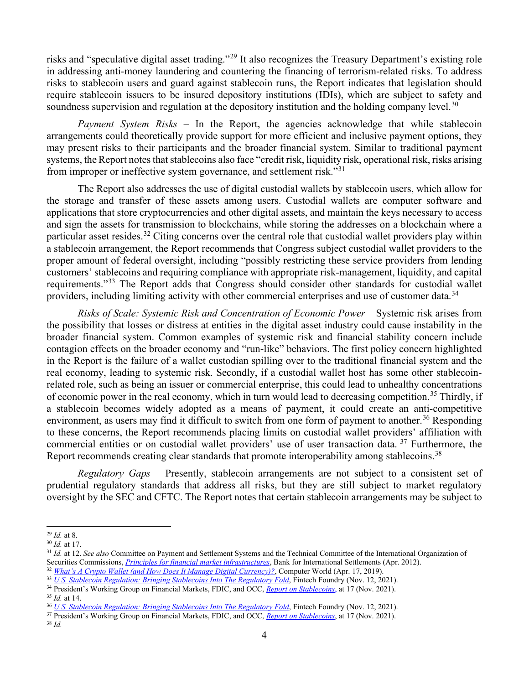risks and "speculative digital asset trading."[29](#page-3-0) It also recognizes the Treasury Department's existing role in addressing anti-money laundering and countering the financing of terrorism-related risks. To address risks to stablecoin users and guard against stablecoin runs, the Report indicates that legislation should require stablecoin issuers to be insured depository institutions (IDIs), which are subject to safety and soundness supervision and regulation at the depository institution and the holding company level.<sup>[30](#page-3-1)</sup>

*Payment System Risks –* In the Report, the agencies acknowledge that while stablecoin arrangements could theoretically provide support for more efficient and inclusive payment options, they may present risks to their participants and the broader financial system. Similar to traditional payment systems, the Report notes that stablecoins also face "credit risk, liquidity risk, operational risk, risks arising from improper or ineffective system governance, and settlement risk."[31](#page-3-2)

The Report also addresses the use of digital custodial wallets by stablecoin users, which allow for the storage and transfer of these assets among users. Custodial wallets are computer software and applications that store cryptocurrencies and other digital assets, and maintain the keys necessary to access and sign the assets for transmission to blockchains, while storing the addresses on a blockchain where a particular asset resides.<sup>[32](#page-3-3)</sup> Citing concerns over the central role that custodial wallet providers play within a stablecoin arrangement, the Report recommends that Congress subject custodial wallet providers to the proper amount of federal oversight, including "possibly restricting these service providers from lending customers' stablecoins and requiring compliance with appropriate risk-management, liquidity, and capital requirements."[33](#page-3-4) The Report adds that Congress should consider other standards for custodial wallet providers, including limiting activity with other commercial enterprises and use of customer data.<sup>[34](#page-3-5)</sup>

*Risks of Scale: Systemic Risk and Concentration of Economic Power –* Systemic risk arises from the possibility that losses or distress at entities in the digital asset industry could cause instability in the broader financial system. Common examples of systemic risk and financial stability concern include contagion effects on the broader economy and "run-like" behaviors. The first policy concern highlighted in the Report is the failure of a wallet custodian spilling over to the traditional financial system and the real economy, leading to systemic risk. Secondly, if a custodial wallet host has some other stablecoinrelated role, such as being an issuer or commercial enterprise, this could lead to unhealthy concentrations of economic power in the real economy, which in turn would lead to decreasing competition.<sup>[35](#page-3-6)</sup> Thirdly, if a stablecoin becomes widely adopted as a means of payment, it could create an anti-competitive environment, as users may find it difficult to switch from one form of payment to another.<sup>[36](#page-3-7)</sup> Responding to these concerns, the Report recommends placing limits on custodial wallet providers' affiliation with commercial entities or on custodial wallet providers' use of user transaction data. [37](#page-3-8) Furthermore, the Report recommends creating clear standards that promote interoperability among stablecoins.<sup>[38](#page-3-9)</sup>

*Regulatory Gaps –* Presently, stablecoin arrangements are not subject to a consistent set of prudential regulatory standards that address all risks, but they are still subject to market regulatory oversight by the SEC and CFTC. The Report notes that certain stablecoin arrangements may be subject to

<span id="page-3-0"></span><sup>29</sup> *Id.* at 8.

<span id="page-3-1"></span><sup>30</sup> *Id.* at 17.

<span id="page-3-2"></span><sup>31</sup> *Id.* at 12. *See also* Committee on Payment and Settlement Systems and the Technical Committee of the International Organization of Securities Commissions, *[Principles for financial market infrastructures](https://www.bis.org/cpmi/publ/d101a.pdf)*, Bank for International Settlements (Apr. 2012).

<span id="page-3-3"></span><sup>&</sup>lt;sup>32</sup> *[What's A Crypto Wallet \(and How Does It Manage Digital Currency\)?](https://www.computerworld.com/article/3389678/whats-a-crypto-wallet-and-does-it-manage-digital-currency.html)*, Computer World (Apr. 17, 2019).

<span id="page-3-5"></span><span id="page-3-4"></span><sup>33</sup> *[U.S. Stablecoin Regulation: Bringing Stablecoins Into The Regulatory Fold](https://fintechperspectives.shearman.com/post/102hbag/u-s-stablecoin-regulation-bringing-stablecoins-into-the-regulatory-fold)*, Fintech Foundry (Nov. 12, 2021).

<sup>34</sup> President's Working Group on Financial Markets, FDIC, and OCC, *[Report on Stablecoins](https://home.treasury.gov/system/files/136/StableCoinReport_Nov1_508.pdf)*, at 17 (Nov. 2021).

<span id="page-3-6"></span><sup>&</sup>lt;sup>35</sup> *Id.* at 14.<br><sup>36</sup> *U.S. Stablecoin Regulation: Bringing Stablecoins Into The Regulatory Fold*, Fintech Foundry (Nov. 12, 2021).

<span id="page-3-8"></span><span id="page-3-7"></span><sup>&</sup>lt;sup>37</sup> President's Working Group on Financial Markets, FDIC, and OCC, [Report on Stablecoins](https://home.treasury.gov/system/files/136/StableCoinReport_Nov1_508.pdf), at 17 (Nov. 2021).

<span id="page-3-9"></span><sup>38</sup> *Id.*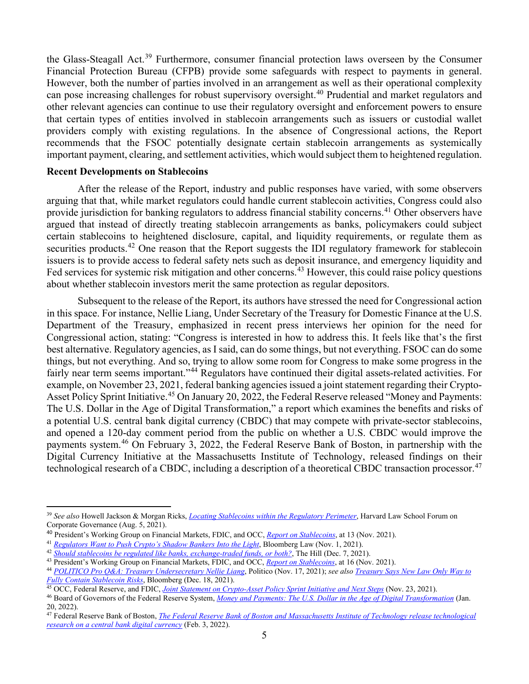the Glass-Steagall Act.<sup>[39](#page-4-0)</sup> Furthermore, consumer financial protection laws overseen by the Consumer Financial Protection Bureau (CFPB) provide some safeguards with respect to payments in general. However, both the number of parties involved in an arrangement as well as their operational complexity can pose increasing challenges for robust supervisory oversight.<sup>[40](#page-4-1)</sup> Prudential and market regulators and other relevant agencies can continue to use their regulatory oversight and enforcement powers to ensure that certain types of entities involved in stablecoin arrangements such as issuers or custodial wallet providers comply with existing regulations. In the absence of Congressional actions, the Report recommends that the FSOC potentially designate certain stablecoin arrangements as systemically important payment, clearing, and settlement activities, which would subject them to heightened regulation.

#### **Recent Developments on Stablecoins**

After the release of the Report, industry and public responses have varied, with some observers arguing that that, while market regulators could handle current stablecoin activities, Congress could also provide jurisdiction for banking regulators to address financial stability concerns.<sup>[41](#page-4-2)</sup> Other observers have argued that instead of directly treating stablecoin arrangements as banks, policymakers could subject certain stablecoins to heightened disclosure, capital, and liquidity requirements, or regulate them as securities products.<sup>[42](#page-4-3)</sup> One reason that the Report suggests the IDI regulatory framework for stablecoin issuers is to provide access to federal safety nets such as deposit insurance, and emergency liquidity and Fed services for systemic risk mitigation and other concerns.<sup>[43](#page-4-4)</sup> However, this could raise policy questions about whether stablecoin investors merit the same protection as regular depositors.

Subsequent to the release of the Report, its authors have stressed the need for Congressional action in this space. For instance, Nellie Liang, Under Secretary of the Treasury for Domestic Finance at the U.S. Department of the Treasury, emphasized in recent press interviews her opinion for the need for Congressional action, stating: "Congress is interested in how to address this. It feels like that's the first best alternative. Regulatory agencies, as I said, can do some things, but not everything. FSOC can do some things, but not everything. And so, trying to allow some room for Congress to make some progress in the fairly near term seems important."<sup>[44](#page-4-5)</sup> Regulators have continued their digital assets-related activities. For example, on November 23, 2021, federal banking agencies issued a joint statement regarding their Crypto-Asset Policy Sprint Initiative.<sup>[45](#page-4-6)</sup> On January 20, 2022, the Federal Reserve released "Money and Payments: The U.S. Dollar in the Age of Digital Transformation," a report which examines the benefits and risks of a potential U.S. central bank digital currency (CBDC) that may compete with private-sector stablecoins, and opened a 120-day comment period from the public on whether a U.S. CBDC would improve the payments system.[46](#page-4-7) On February 3, 2022, the Federal Reserve Bank of Boston, in partnership with the Digital Currency Initiative at the Massachusetts Institute of Technology, released findings on their technological research of a CBDC, including a description of a theoretical CBDC transaction processor.<sup>[47](#page-4-8)</sup>

<span id="page-4-0"></span><sup>39</sup> *See also* Howell Jackson & Morgan Ricks, *[Locating Stablecoins within the Regulatory Perimeter](https://corpgov.law.harvard.edu/2021/08/05/locating-stablecoins-within-the-regulatory-perimeter/)*, Harvard Law School Forum on Corporate Governance (Aug. 5, 2021).

<span id="page-4-1"></span><sup>&</sup>lt;sup>40</sup> President's Working Group on Financial Markets, FDIC, and OCC, *[Report on Stablecoins](https://home.treasury.gov/system/files/136/StableCoinReport_Nov1_508.pdf)*, at 13 (Nov. 2021).<br><sup>41</sup> Regulators Want to Push Crypto's Shadow Bankers Into the Light, Bloomberg Law (Nov. 1, 2021).

<span id="page-4-4"></span><span id="page-4-3"></span><span id="page-4-2"></span><sup>42</sup> *[Should stablecoins be regulated like banks, exchange-traded funds, or both?](https://thehill.com/opinion/finance/584499-should-stablecoins-be-regulated-like-banks-exchange-traded-funds-or-both)*, The Hill (Dec. 7, 2021).<br><sup>43</sup> *President's Working Group on Financial Markets, FDIC, and OCC, <u><i>Report on Stablecoins*</u>, at 16 (Nov. 2021).

<span id="page-4-5"></span><sup>&</sup>lt;sup>44</sup> POLITICO Pro O&A: Treasury Undersecretary Nellie Liang, Politico (Nov. 17, 2021); see also [Treasury Says New Law Only Way to](https://www.bloomberg.com/news/articles/2021-12-18/treasury-says-new-law-only-way-to-fully-contain-stablecoin-risks) Fully Contain Stablecoin Risks, Bloomberg (Dec. 18, 2021).

<span id="page-4-6"></span><sup>&</sup>lt;sup>45</sup> OCC, Federal Reserve, and FDIC, *[Joint Statement on Crypto-Asset Policy Sprint Initiative and Next Steps](https://www.occ.gov/news-issuances/news-releases/2021/nr-ia-2021-120a.pdf)* (Nov. 23, 2021).

<span id="page-4-7"></span><sup>46</sup> Board of Governors of the Federal Reserve System, *[Money and Payments: The U.S. Dollar in the Age of Digital Transformation](https://www.federalreserve.gov/publications/files/money-and-payments-20220120.pdf)* (Jan. 20, 2022).

<span id="page-4-8"></span><sup>47</sup> Federal Reserve Bank of Boston, *[The Federal Reserve Bank of Boston and Massachusetts Institute of Technology release technological](https://www.bostonfed.org/news-and-events/press-releases/2022/frbb-and-mit-open-cbdc-phase-one.aspx)  [research on a central bank digital currency](https://www.bostonfed.org/news-and-events/press-releases/2022/frbb-and-mit-open-cbdc-phase-one.aspx)* (Feb. 3, 2022).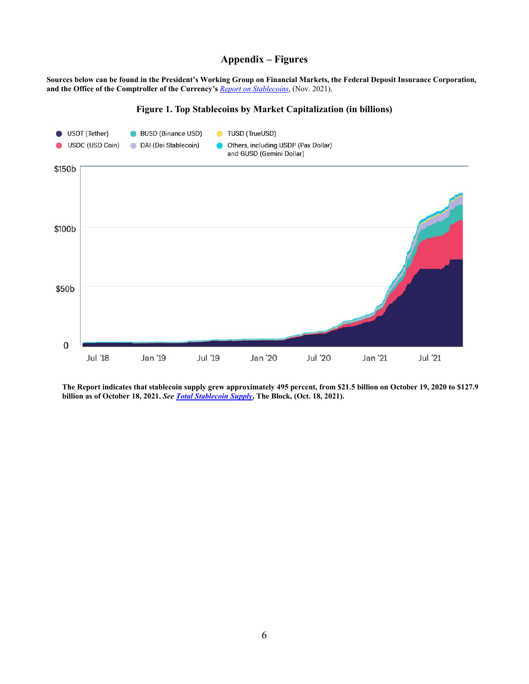## **Appendix – Figures**

**Sources below can be found in the President's Working Group on Financial Markets, the Federal Deposit Insurance Corporation, and the Office of the Comptroller of the Currency's** *[Report on Stablecoins](https://home.treasury.gov/system/files/136/StableCoinReport_Nov1_508.pdf)*, (Nov. 2021).

#### **Figure 1. Top Stablecoins by Market Capitalization (in billions)**



**The Report indicates that stablecoin supply grew approximately 495 percent, from \$21.5 billion on October 19, 2020 to \$127.9 billion as of October 18, 2021.** *Se[e Total Stablecoin Supply](https://www.theblockcrypto.com/data/decentralized-finance/stablecoins/total-stablecoin-supply-daily)***, The Block, (Oct. 18, 2021).**